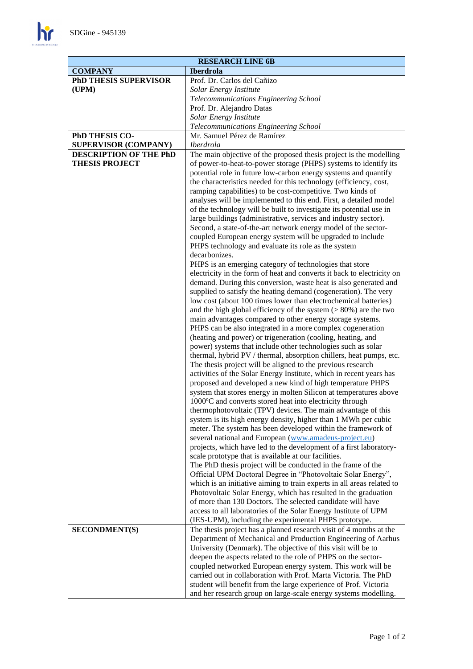$\mathbf{h}$ 

| <b>RESEARCH LINE 6B</b>            |                                                                                                                                                                                                                                                        |
|------------------------------------|--------------------------------------------------------------------------------------------------------------------------------------------------------------------------------------------------------------------------------------------------------|
| <b>Iberdrola</b><br><b>COMPANY</b> |                                                                                                                                                                                                                                                        |
| <b>PhD THESIS SUPERVISOR</b>       | Prof. Dr. Carlos del Cañizo                                                                                                                                                                                                                            |
| (UPM)                              | Solar Energy Institute                                                                                                                                                                                                                                 |
|                                    | Telecommunications Engineering School                                                                                                                                                                                                                  |
|                                    | Prof. Dr. Alejandro Datas                                                                                                                                                                                                                              |
|                                    | Solar Energy Institute                                                                                                                                                                                                                                 |
|                                    | Telecommunications Engineering School                                                                                                                                                                                                                  |
| PhD THESIS CO-                     | Mr. Samuel Pérez de Ramírez                                                                                                                                                                                                                            |
| <b>SUPERVISOR (COMPANY)</b>        | <b>Iberdrola</b>                                                                                                                                                                                                                                       |
| <b>DESCRIPTION OF THE PhD</b>      | The main objective of the proposed thesis project is the modelling                                                                                                                                                                                     |
| <b>THESIS PROJECT</b>              | of power-to-heat-to-power storage (PHPS) systems to identify its<br>potential role in future low-carbon energy systems and quantify<br>the characteristics needed for this technology (efficiency, cost,                                               |
|                                    | ramping capabilities) to be cost-competitive. Two kinds of<br>analyses will be implemented to this end. First, a detailed model<br>of the technology will be built to investigate its potential use in                                                 |
|                                    | large buildings (administrative, services and industry sector).<br>Second, a state-of-the-art network energy model of the sector-<br>coupled European energy system will be upgraded to include<br>PHPS technology and evaluate its role as the system |
|                                    | decarbonizes.                                                                                                                                                                                                                                          |
|                                    | PHPS is an emerging category of technologies that store                                                                                                                                                                                                |
|                                    | electricity in the form of heat and converts it back to electricity on                                                                                                                                                                                 |
|                                    | demand. During this conversion, waste heat is also generated and                                                                                                                                                                                       |
|                                    | supplied to satisfy the heating demand (cogeneration). The very                                                                                                                                                                                        |
|                                    | low cost (about 100 times lower than electrochemical batteries)                                                                                                                                                                                        |
|                                    | and the high global efficiency of the system $($ > 80%) are the two                                                                                                                                                                                    |
|                                    | main advantages compared to other energy storage systems.                                                                                                                                                                                              |
|                                    | PHPS can be also integrated in a more complex cogeneration                                                                                                                                                                                             |
|                                    | (heating and power) or trigeneration (cooling, heating, and                                                                                                                                                                                            |
|                                    | power) systems that include other technologies such as solar                                                                                                                                                                                           |
|                                    | thermal, hybrid PV / thermal, absorption chillers, heat pumps, etc.                                                                                                                                                                                    |
|                                    | The thesis project will be aligned to the previous research                                                                                                                                                                                            |
|                                    | activities of the Solar Energy Institute, which in recent years has                                                                                                                                                                                    |
|                                    | proposed and developed a new kind of high temperature PHPS                                                                                                                                                                                             |
|                                    | system that stores energy in molten Silicon at temperatures above                                                                                                                                                                                      |
|                                    | 1000°C and converts stored heat into electricity through                                                                                                                                                                                               |
|                                    | thermophotovoltaic (TPV) devices. The main advantage of this                                                                                                                                                                                           |
|                                    | system is its high energy density, higher than 1 MWh per cubic                                                                                                                                                                                         |
|                                    | meter. The system has been developed within the framework of                                                                                                                                                                                           |
|                                    | several national and European (www.amadeus-project.eu)                                                                                                                                                                                                 |
|                                    | projects, which have led to the development of a first laboratory-                                                                                                                                                                                     |
|                                    | scale prototype that is available at our facilities.                                                                                                                                                                                                   |
|                                    | The PhD thesis project will be conducted in the frame of the                                                                                                                                                                                           |
|                                    | Official UPM Doctoral Degree in "Photovoltaic Solar Energy",                                                                                                                                                                                           |
|                                    | which is an initiative aiming to train experts in all areas related to                                                                                                                                                                                 |
|                                    | Photovoltaic Solar Energy, which has resulted in the graduation<br>of more than 130 Doctors. The selected candidate will have                                                                                                                          |
|                                    | access to all laboratories of the Solar Energy Institute of UPM                                                                                                                                                                                        |
|                                    | (IES-UPM), including the experimental PHPS prototype.                                                                                                                                                                                                  |
| <b>SECONDMENT(S)</b>               | The thesis project has a planned research visit of 4 months at the                                                                                                                                                                                     |
|                                    | Department of Mechanical and Production Engineering of Aarhus                                                                                                                                                                                          |
|                                    | University (Denmark). The objective of this visit will be to                                                                                                                                                                                           |
|                                    | deepen the aspects related to the role of PHPS on the sector-                                                                                                                                                                                          |
|                                    | coupled networked European energy system. This work will be                                                                                                                                                                                            |
|                                    | carried out in collaboration with Prof. Marta Victoria. The PhD                                                                                                                                                                                        |
|                                    | student will benefit from the large experience of Prof. Victoria                                                                                                                                                                                       |
|                                    | and her research group on large-scale energy systems modelling.                                                                                                                                                                                        |